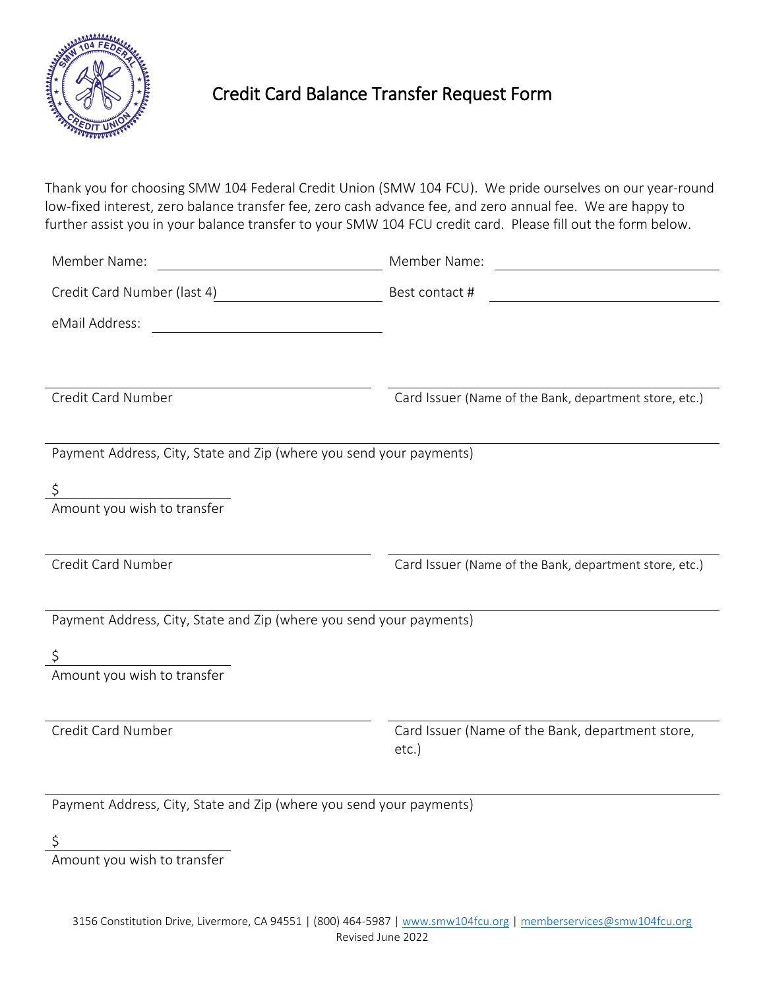

## Credit Card Balance Transfer Request Form

Thank you for choosing SMW 104 Federal Credit Union (SMW 104 FCU). We pride ourselves on our year-round low-fixed interest, zero balance transfer fee, zero cash advance fee, and zero annual fee. We are happy to further assist you in your balance transfer to your SMW 104 FCU credit card. Please fill out the form below.

| Member Name:                                                        | Member Name:<br><u> 1980 - Jan Stein Stein Stein Stein Stein Stein Stein Stein Stein Stein Stein Stein Stein Stein Stein Stein S</u> |
|---------------------------------------------------------------------|--------------------------------------------------------------------------------------------------------------------------------------|
| Credit Card Number (last 4)                                         | Best contact #                                                                                                                       |
| eMail Address:                                                      |                                                                                                                                      |
|                                                                     |                                                                                                                                      |
| Credit Card Number                                                  | Card Issuer (Name of the Bank, department store, etc.)                                                                               |
|                                                                     |                                                                                                                                      |
| Payment Address, City, State and Zip (where you send your payments) |                                                                                                                                      |
| \$                                                                  |                                                                                                                                      |
| Amount you wish to transfer                                         |                                                                                                                                      |
|                                                                     |                                                                                                                                      |
| Credit Card Number                                                  | Card Issuer (Name of the Bank, department store, etc.)                                                                               |
|                                                                     |                                                                                                                                      |
| Payment Address, City, State and Zip (where you send your payments) |                                                                                                                                      |
|                                                                     |                                                                                                                                      |
| Amount you wish to transfer                                         |                                                                                                                                      |
|                                                                     |                                                                                                                                      |
| Credit Card Number                                                  | Card Issuer (Name of the Bank, department store,<br>$etc.$ )                                                                         |
|                                                                     |                                                                                                                                      |

Payment Address, City, State and Zip (where you send your payments)

 $\zeta$ 

Amount you wish to transfer